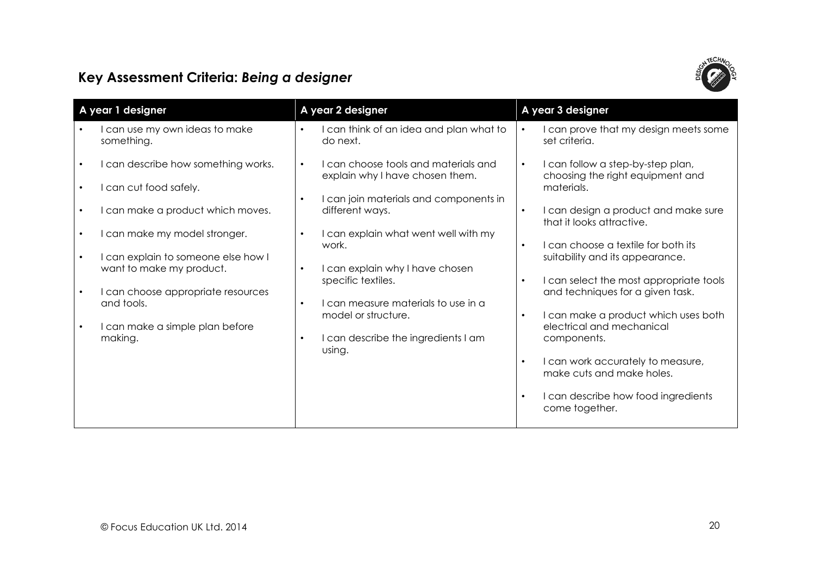

## Key Assessment Criteria: Being a designer

| A year 1 designer                                                    | A year 2 designer                                                                    | A year 3 designer                                                                                |  |
|----------------------------------------------------------------------|--------------------------------------------------------------------------------------|--------------------------------------------------------------------------------------------------|--|
| I can use my own ideas to make<br>something.                         | I can think of an idea and plan what to<br>do next.                                  | I can prove that my design meets some<br>set criteria.                                           |  |
| I can describe how something works.<br>I can cut food safely.        | I can choose tools and materials and<br>$\bullet$<br>explain why I have chosen them. | I can follow a step-by-step plan,<br>$\bullet$<br>choosing the right equipment and<br>materials. |  |
| I can make a product which moves.                                    | I can join materials and components in<br>$\bullet$<br>different ways.               | I can design a product and make sure<br>$\bullet$<br>that it looks attractive.                   |  |
| I can make my model stronger.<br>I can explain to someone else how I | I can explain what went well with my<br>$\bullet$<br>work.                           | I can choose a textile for both its<br>$\bullet$<br>suitability and its appearance.              |  |
| want to make my product.                                             | I can explain why I have chosen<br>$\bullet$<br>specific textiles.                   | I can select the most appropriate tools<br>$\bullet$                                             |  |
| I can choose appropriate resources<br>and tools.                     | I can measure materials to use in a<br>$\bullet$<br>model or structure.              | and techniques for a given task.<br>I can make a product which uses both<br>$\bullet$            |  |
| I can make a simple plan before<br>making.                           | I can describe the ingredients I am<br>٠<br>using.                                   | electrical and mechanical<br>components.                                                         |  |
|                                                                      |                                                                                      | I can work accurately to measure,<br>$\bullet$<br>make cuts and make holes.                      |  |
|                                                                      |                                                                                      | I can describe how food ingredients<br>come together.                                            |  |